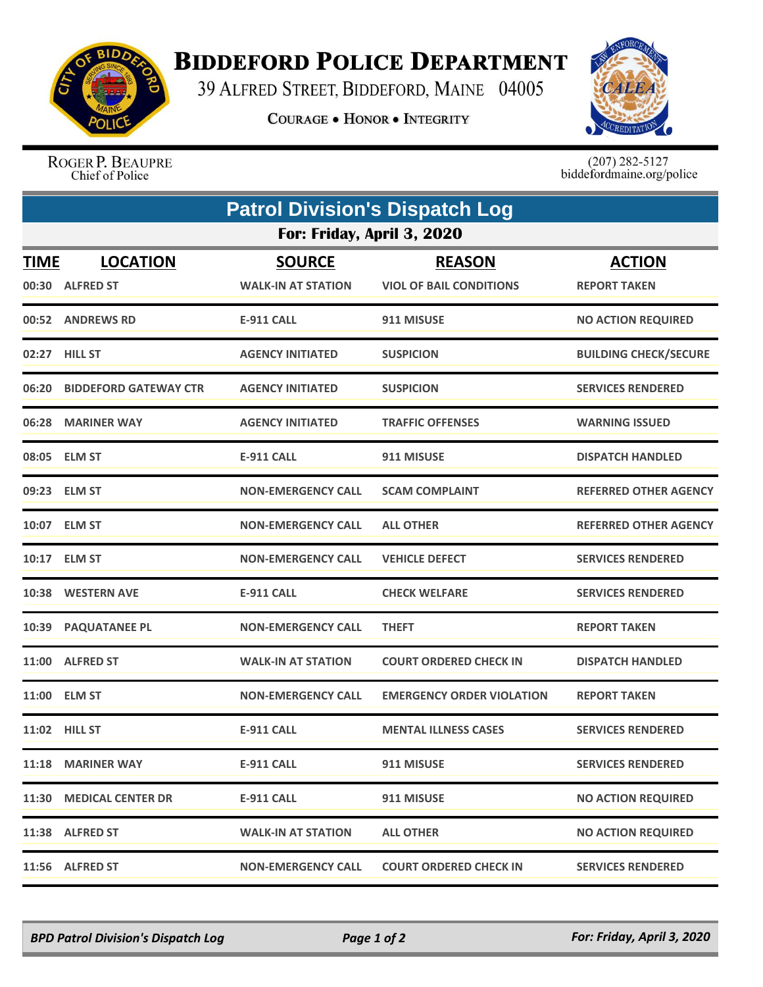

## **BIDDEFORD POLICE DEPARTMENT**

39 ALFRED STREET, BIDDEFORD, MAINE 04005

**COURAGE . HONOR . INTEGRITY** 



ROGER P. BEAUPRE Chief of Police

 $(207)$  282-5127<br>biddefordmaine.org/police

|                            | <b>Patrol Division's Dispatch Log</b> |                                            |                                                 |                                      |  |  |  |
|----------------------------|---------------------------------------|--------------------------------------------|-------------------------------------------------|--------------------------------------|--|--|--|
| For: Friday, April 3, 2020 |                                       |                                            |                                                 |                                      |  |  |  |
| <b>TIME</b>                | <b>LOCATION</b><br>00:30 ALFRED ST    | <b>SOURCE</b><br><b>WALK-IN AT STATION</b> | <b>REASON</b><br><b>VIOL OF BAIL CONDITIONS</b> | <b>ACTION</b><br><b>REPORT TAKEN</b> |  |  |  |
|                            | 00:52 ANDREWS RD                      | <b>E-911 CALL</b>                          | 911 MISUSE                                      | <b>NO ACTION REQUIRED</b>            |  |  |  |
|                            | 02:27 HILL ST                         | <b>AGENCY INITIATED</b>                    | <b>SUSPICION</b>                                | <b>BUILDING CHECK/SECURE</b>         |  |  |  |
|                            | 06:20 BIDDEFORD GATEWAY CTR           | <b>AGENCY INITIATED</b>                    | <b>SUSPICION</b>                                | <b>SERVICES RENDERED</b>             |  |  |  |
|                            | 06:28 MARINER WAY                     | <b>AGENCY INITIATED</b>                    | <b>TRAFFIC OFFENSES</b>                         | <b>WARNING ISSUED</b>                |  |  |  |
|                            | 08:05 ELM ST                          | <b>E-911 CALL</b>                          | 911 MISUSE                                      | <b>DISPATCH HANDLED</b>              |  |  |  |
|                            | 09:23 ELM ST                          | <b>NON-EMERGENCY CALL</b>                  | <b>SCAM COMPLAINT</b>                           | <b>REFERRED OTHER AGENCY</b>         |  |  |  |
|                            | 10:07 ELM ST                          | <b>NON-EMERGENCY CALL</b>                  | <b>ALL OTHER</b>                                | <b>REFERRED OTHER AGENCY</b>         |  |  |  |
|                            | 10:17 ELM ST                          | <b>NON-EMERGENCY CALL</b>                  | <b>VEHICLE DEFECT</b>                           | <b>SERVICES RENDERED</b>             |  |  |  |
|                            | 10:38 WESTERN AVE                     | <b>E-911 CALL</b>                          | <b>CHECK WELFARE</b>                            | <b>SERVICES RENDERED</b>             |  |  |  |
|                            | 10:39 PAQUATANEE PL                   | <b>NON-EMERGENCY CALL</b>                  | <b>THEFT</b>                                    | <b>REPORT TAKEN</b>                  |  |  |  |
|                            | 11:00 ALFRED ST                       | <b>WALK-IN AT STATION</b>                  | <b>COURT ORDERED CHECK IN</b>                   | <b>DISPATCH HANDLED</b>              |  |  |  |
|                            | 11:00 ELM ST                          | <b>NON-EMERGENCY CALL</b>                  | <b>EMERGENCY ORDER VIOLATION</b>                | <b>REPORT TAKEN</b>                  |  |  |  |
|                            | 11:02 HILL ST                         | <b>E-911 CALL</b>                          | <b>MENTAL ILLNESS CASES</b>                     | <b>SERVICES RENDERED</b>             |  |  |  |
|                            | 11:18 MARINER WAY                     | <b>E-911 CALL</b>                          | 911 MISUSE                                      | <b>SERVICES RENDERED</b>             |  |  |  |
|                            | 11:30 MEDICAL CENTER DR               | <b>E-911 CALL</b>                          | 911 MISUSE                                      | <b>NO ACTION REQUIRED</b>            |  |  |  |
|                            | 11:38 ALFRED ST                       | <b>WALK-IN AT STATION</b>                  | <b>ALL OTHER</b>                                | <b>NO ACTION REQUIRED</b>            |  |  |  |
|                            | 11:56 ALFRED ST                       | <b>NON-EMERGENCY CALL</b>                  | <b>COURT ORDERED CHECK IN</b>                   | <b>SERVICES RENDERED</b>             |  |  |  |